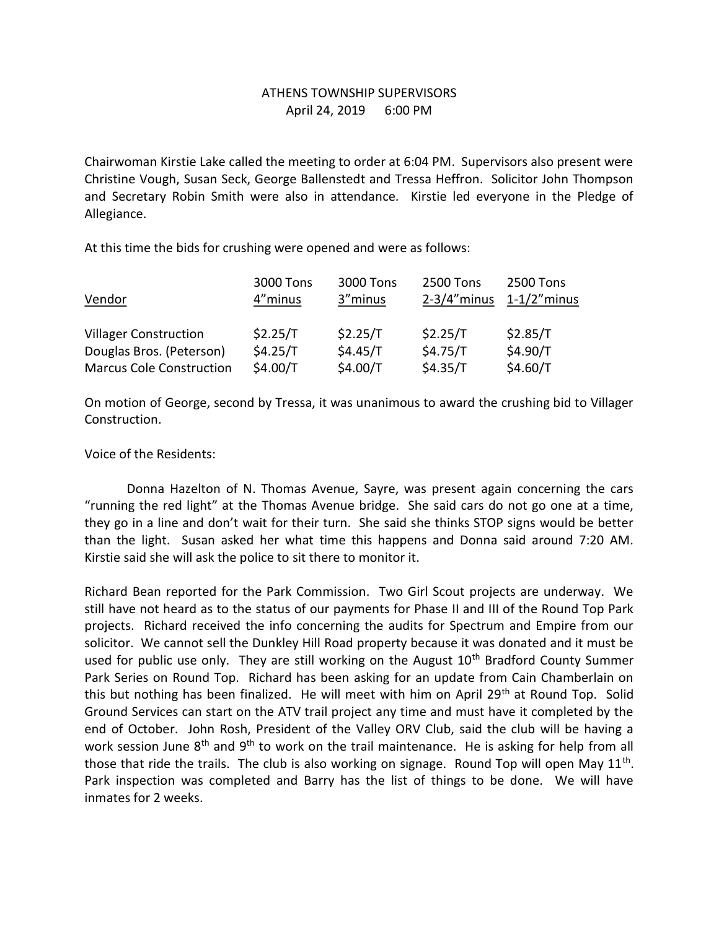## ATHENS TOWNSHIP SUPERVISORS April 24, 2019 6:00 PM

Chairwoman Kirstie Lake called the meeting to order at 6:04 PM. Supervisors also present were Christine Vough, Susan Seck, George Ballenstedt and Tressa Heffron. Solicitor John Thompson and Secretary Robin Smith were also in attendance. Kirstie led everyone in the Pledge of Allegiance.

At this time the bids for crushing were opened and were as follows:

|                                 | 3000 Tons  | 3000 Tons | <b>2500 Tons</b> | 2500 Tons       |
|---------------------------------|------------|-----------|------------------|-----------------|
| Vendor                          | 4"minus    | 3"minus   | $2-3/4$ "minus   | $1-1/2$ " minus |
|                                 |            |           |                  |                 |
| <b>Villager Construction</b>    | \$2.25/T   | \$2.25/T  | \$2.25/T         | \$2.85/T        |
| Douglas Bros. (Peterson)        | \$4.25/T   | \$4.45/T  | \$4.75/T\$       | \$4.90/T        |
| <b>Marcus Cole Construction</b> | \$4.00/T\$ | \$4.00/T  | \$4.35/T         | \$4.60/T        |

On motion of George, second by Tressa, it was unanimous to award the crushing bid to Villager Construction.

Voice of the Residents:

 Donna Hazelton of N. Thomas Avenue, Sayre, was present again concerning the cars "running the red light" at the Thomas Avenue bridge. She said cars do not go one at a time, they go in a line and don't wait for their turn. She said she thinks STOP signs would be better than the light. Susan asked her what time this happens and Donna said around 7:20 AM. Kirstie said she will ask the police to sit there to monitor it.

Richard Bean reported for the Park Commission. Two Girl Scout projects are underway. We still have not heard as to the status of our payments for Phase II and III of the Round Top Park projects. Richard received the info concerning the audits for Spectrum and Empire from our solicitor. We cannot sell the Dunkley Hill Road property because it was donated and it must be used for public use only. They are still working on the August 10<sup>th</sup> Bradford County Summer Park Series on Round Top. Richard has been asking for an update from Cain Chamberlain on this but nothing has been finalized. He will meet with him on April 29<sup>th</sup> at Round Top. Solid Ground Services can start on the ATV trail project any time and must have it completed by the end of October. John Rosh, President of the Valley ORV Club, said the club will be having a work session June  $8<sup>th</sup>$  and  $9<sup>th</sup>$  to work on the trail maintenance. He is asking for help from all those that ride the trails. The club is also working on signage. Round Top will open May  $11<sup>th</sup>$ . Park inspection was completed and Barry has the list of things to be done. We will have inmates for 2 weeks.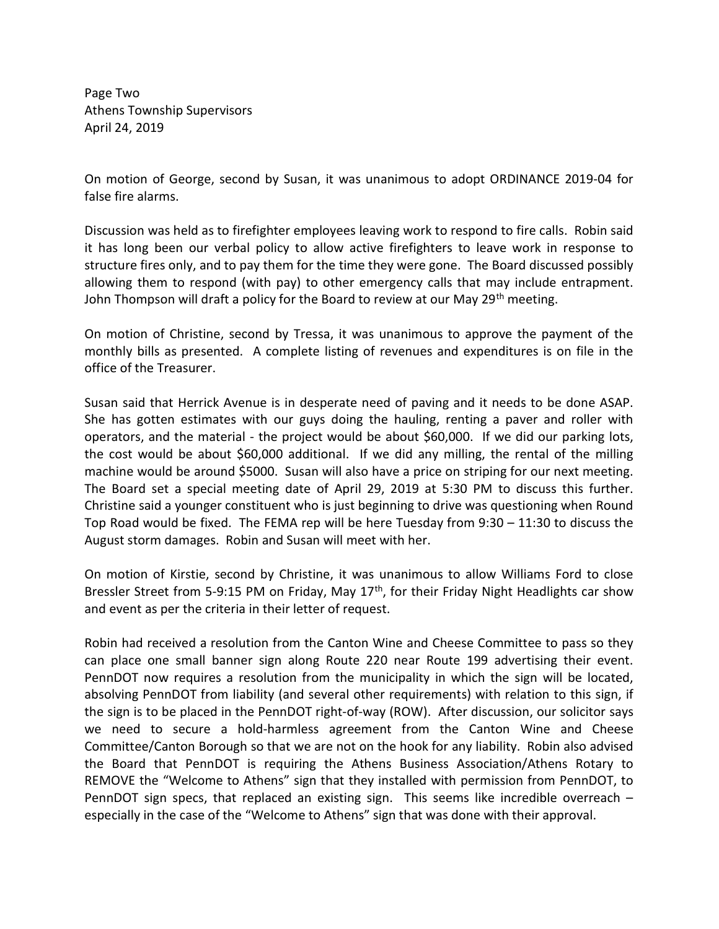Page Two Athens Township Supervisors April 24, 2019

On motion of George, second by Susan, it was unanimous to adopt ORDINANCE 2019-04 for false fire alarms.

Discussion was held as to firefighter employees leaving work to respond to fire calls. Robin said it has long been our verbal policy to allow active firefighters to leave work in response to structure fires only, and to pay them for the time they were gone. The Board discussed possibly allowing them to respond (with pay) to other emergency calls that may include entrapment. John Thompson will draft a policy for the Board to review at our May 29<sup>th</sup> meeting.

On motion of Christine, second by Tressa, it was unanimous to approve the payment of the monthly bills as presented. A complete listing of revenues and expenditures is on file in the office of the Treasurer.

Susan said that Herrick Avenue is in desperate need of paving and it needs to be done ASAP. She has gotten estimates with our guys doing the hauling, renting a paver and roller with operators, and the material - the project would be about \$60,000. If we did our parking lots, the cost would be about \$60,000 additional. If we did any milling, the rental of the milling machine would be around \$5000. Susan will also have a price on striping for our next meeting. The Board set a special meeting date of April 29, 2019 at 5:30 PM to discuss this further. Christine said a younger constituent who is just beginning to drive was questioning when Round Top Road would be fixed. The FEMA rep will be here Tuesday from 9:30 – 11:30 to discuss the August storm damages. Robin and Susan will meet with her.

On motion of Kirstie, second by Christine, it was unanimous to allow Williams Ford to close Bressler Street from 5-9:15 PM on Friday, May 17<sup>th</sup>, for their Friday Night Headlights car show and event as per the criteria in their letter of request.

Robin had received a resolution from the Canton Wine and Cheese Committee to pass so they can place one small banner sign along Route 220 near Route 199 advertising their event. PennDOT now requires a resolution from the municipality in which the sign will be located, absolving PennDOT from liability (and several other requirements) with relation to this sign, if the sign is to be placed in the PennDOT right-of-way (ROW). After discussion, our solicitor says we need to secure a hold-harmless agreement from the Canton Wine and Cheese Committee/Canton Borough so that we are not on the hook for any liability. Robin also advised the Board that PennDOT is requiring the Athens Business Association/Athens Rotary to REMOVE the "Welcome to Athens" sign that they installed with permission from PennDOT, to PennDOT sign specs, that replaced an existing sign. This seems like incredible overreach – especially in the case of the "Welcome to Athens" sign that was done with their approval.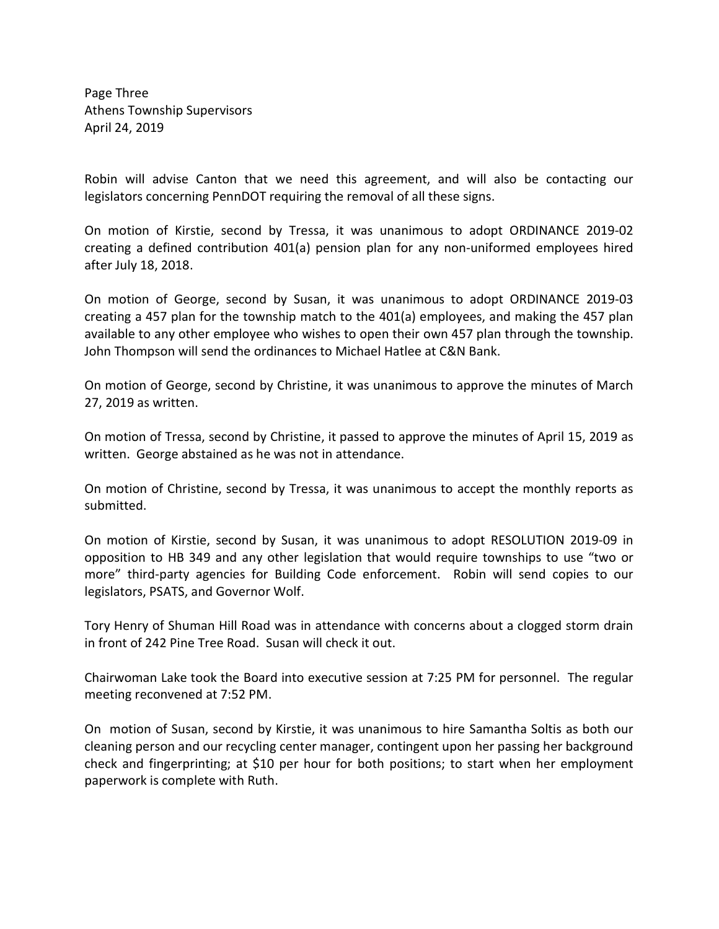Page Three Athens Township Supervisors April 24, 2019

Robin will advise Canton that we need this agreement, and will also be contacting our legislators concerning PennDOT requiring the removal of all these signs.

On motion of Kirstie, second by Tressa, it was unanimous to adopt ORDINANCE 2019-02 creating a defined contribution 401(a) pension plan for any non-uniformed employees hired after July 18, 2018.

On motion of George, second by Susan, it was unanimous to adopt ORDINANCE 2019-03 creating a 457 plan for the township match to the 401(a) employees, and making the 457 plan available to any other employee who wishes to open their own 457 plan through the township. John Thompson will send the ordinances to Michael Hatlee at C&N Bank.

On motion of George, second by Christine, it was unanimous to approve the minutes of March 27, 2019 as written.

On motion of Tressa, second by Christine, it passed to approve the minutes of April 15, 2019 as written. George abstained as he was not in attendance.

On motion of Christine, second by Tressa, it was unanimous to accept the monthly reports as submitted.

On motion of Kirstie, second by Susan, it was unanimous to adopt RESOLUTION 2019-09 in opposition to HB 349 and any other legislation that would require townships to use "two or more" third-party agencies for Building Code enforcement. Robin will send copies to our legislators, PSATS, and Governor Wolf.

Tory Henry of Shuman Hill Road was in attendance with concerns about a clogged storm drain in front of 242 Pine Tree Road. Susan will check it out.

Chairwoman Lake took the Board into executive session at 7:25 PM for personnel. The regular meeting reconvened at 7:52 PM.

On motion of Susan, second by Kirstie, it was unanimous to hire Samantha Soltis as both our cleaning person and our recycling center manager, contingent upon her passing her background check and fingerprinting; at \$10 per hour for both positions; to start when her employment paperwork is complete with Ruth.